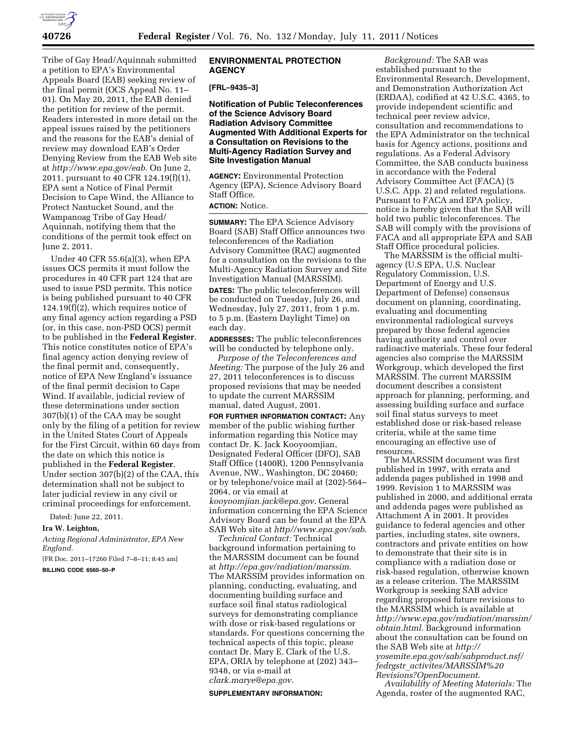

Tribe of Gay Head/Aquinnah submitted a petition to EPA's Environmental Appeals Board (EAB) seeking review of the final permit (OCS Appeal No. 11– 01). On May 20, 2011, the EAB denied the petition for review of the permit. Readers interested in more detail on the appeal issues raised by the petitioners and the reasons for the EAB's denial of review may download EAB's Order Denying Review from the EAB Web site at *[http://www.epa.gov/eab.](http://www.epa.gov/eab)* On June 2, 2011, pursuant to 40 CFR 124.19(f)(1), EPA sent a Notice of Final Permit Decision to Cape Wind, the Alliance to Protect Nantucket Sound, and the Wampanoag Tribe of Gay Head/ Aquinnah, notifying them that the conditions of the permit took effect on June 2, 2011.

Under 40 CFR 55.6(a)(3), when EPA issues OCS permits it must follow the procedures in 40 CFR part 124 that are used to issue PSD permits. This notice is being published pursuant to 40 CFR 124.19(f)(2), which requires notice of any final agency action regarding a PSD (or, in this case, non-PSD OCS) permit to be published in the **Federal Register**. This notice constitutes notice of EPA's final agency action denying review of the final permit and, consequently, notice of EPA New England's issuance of the final permit decision to Cape Wind. If available, judicial review of these determinations under section 307(b)(1) of the CAA may be sought only by the filing of a petition for review in the United States Court of Appeals for the First Circuit, within 60 days from the date on which this notice is published in the **Federal Register**. Under section 307(b)(2) of the CAA, this determination shall not be subject to later judicial review in any civil or criminal proceedings for enforcement.

Dated: June 22, 2011.

### **Ira W. Leighton,**

*Acting Regional Administrator, EPA New England.* 

[FR Doc. 2011–17260 Filed 7–8–11; 8:45 am] **BILLING CODE 6560–50–P** 

### **ENVIRONMENTAL PROTECTION AGENCY**

#### **[FRL–9435–3]**

**Notification of Public Teleconferences of the Science Advisory Board Radiation Advisory Committee Augmented With Additional Experts for a Consultation on Revisions to the Multi-Agency Radiation Survey and Site Investigation Manual** 

**AGENCY:** Environmental Protection Agency (EPA), Science Advisory Board Staff Office.

## **ACTION:** Notice.

**SUMMARY:** The EPA Science Advisory Board (SAB) Staff Office announces two teleconferences of the Radiation Advisory Committee (RAC) augmented for a consultation on the revisions to the Multi-Agency Radiation Survey and Site Investigation Manual (MARSSIM).

**DATES:** The public teleconferences will be conducted on Tuesday, July 26, and Wednesday, July 27, 2011, from 1 p.m. to 5 p.m. (Eastern Daylight Time) on each day.

**ADDRESSES:** The public teleconferences will be conducted by telephone only.

*Purpose of the Teleconferences and Meeting:* The purpose of the July 26 and 27, 2011 teleconferences is to discuss proposed revisions that may be needed to update the current MARSSIM manual, dated August, 2001.

**FOR FURTHER INFORMATION CONTACT:** Any member of the public wishing further information regarding this Notice may contact Dr. K. Jack Kooyoomjian, Designated Federal Officer (DFO), SAB Staff Office (1400R), 1200 Pennsylvania Avenue, NW., Washington, DC 20460; or by telephone/voice mail at (202)-564– 2064, or via email at *[kooyoomjian.jack@epa.gov](mailto:kooyoomjian.jack@epa.gov)*. General information concerning the EPA Science Advisory Board can be found at the EPA SAB Web site at *[http//www.epa.gov/sab.](http//www.epa.gov/sab)* 

*Technical Contact:* Technical background information pertaining to the MARSSIM document can be found at *<http://epa.gov/radiation/marssim>*. The MARSSIM provides information on planning, conducting, evaluating, and documenting building surface and surface soil final status radiological surveys for demonstrating compliance with dose or risk-based regulations or standards. For questions concerning the technical aspects of this topic, please contact Dr. Mary E. Clark of the U.S. EPA, ORIA by telephone at (202) 343– 9348, or via e-mail at

*[clark.marye@epa.gov](mailto:clark.marye@epa.gov)*.

#### **SUPPLEMENTARY INFORMATION:**

*Background:* The SAB was established pursuant to the Environmental Research, Development, and Demonstration Authorization Act (ERDAA), codified at 42 U.S.C. 4365, to provide independent scientific and technical peer review advice, consultation and recommendations to the EPA Administrator on the technical basis for Agency actions, positions and regulations. As a Federal Advisory Committee, the SAB conducts business in accordance with the Federal Advisory Committee Act (FACA) (5 U.S.C. App. 2) and related regulations. Pursuant to FACA and EPA policy, notice is hereby given that the SAB will hold two public teleconferences. The SAB will comply with the provisions of FACA and all appropriate EPA and SAB Staff Office procedural policies.

The MARSSIM is the official multiagency (U.S EPA, U.S. Nuclear Regulatory Commission, U.S. Department of Energy and U.S. Department of Defense) consensus document on planning, coordinating, evaluating and documenting environmental radiological surveys prepared by those federal agencies having authority and control over radioactive materials. These four federal agencies also comprise the MARSSIM Workgroup, which developed the first MARSSIM. The current MARSSIM document describes a consistent approach for planning, performing, and assessing building surface and surface soil final status surveys to meet established dose or risk-based release criteria, while at the same time encouraging an effective use of resources.

The MARSSIM document was first published in 1997, with errata and addenda pages published in 1998 and 1999. Revision 1 to MARSSIM was published in 2000, and additional errata and addenda pages were published as Attachment A in 2001. It provides guidance to federal agencies and other parties, including states, site owners, contractors and private entities on how to demonstrate that their site is in compliance with a radiation dose or risk-based regulation, otherwise known as a release criterion. The MARSSIM Workgroup is seeking SAB advice regarding proposed future revisions to the MARSSIM which is available at *[http://www.epa.gov/radiation/marssim/](http://www.epa.gov/radiation/marssim/obtain.html) [obtain.html.](http://www.epa.gov/radiation/marssim/obtain.html)* Background information about the consultation can be found on the SAB Web site at *[http://](http://yosemite.epa.gov/sab/sabproduct.nsf/fedrgstr_activites/MARSSIM%20Revisions?OpenDocument)  [yosemite.epa.gov/sab/sabproduct.nsf/](http://yosemite.epa.gov/sab/sabproduct.nsf/fedrgstr_activites/MARSSIM%20Revisions?OpenDocument) fedrgstr*\_*[activites/MARSSIM%20](http://yosemite.epa.gov/sab/sabproduct.nsf/fedrgstr_activites/MARSSIM%20Revisions?OpenDocument) [Revisions?OpenDocument](http://yosemite.epa.gov/sab/sabproduct.nsf/fedrgstr_activites/MARSSIM%20Revisions?OpenDocument)*.

*Availability of Meeting Materials:* The Agenda, roster of the augmented RAC,